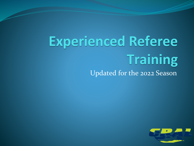# **Experienced Referee Training** Updated for the 2022 Season

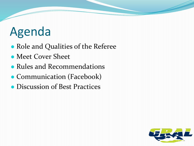## Agenda

- Role and Qualities of the Referee
- Meet Cover Sheet
- Rules and Recommendations
- Communication (Facebook)
- Discussion of Best Practices

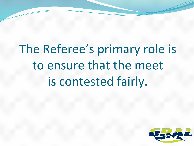The Referee's primary role is to ensure that the meet is contested fairly.

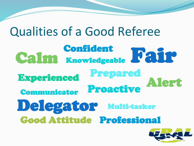Qualities of a Good Referee Calm Knowledgeable Fair Alert Delegator Communicator Prepared Experienced Good Attitude Professional Proactive Multi-tasker

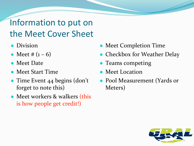#### Information to put on the Meet Cover Sheet

- Division
- Meet #  $(1 6)$
- Meet Date
- Meet Start Time
- Time Event 44 begins (don't forget to note this)
- Meet workers & walkers (this is how people get credit!)
- Meet Completion Time
- **Checkbox for Weather Delay**
- Teams competing
- **Meet Location**
- Pool Measurement (Yards or Meters)

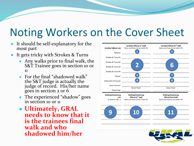### Noting Workers on the Cover Sheet

- It should be self-explanatory for the most part
- It gets tricky with Strokes & Turns
	- Any walks prior to final walk, the S&T Trainee goes in section 10 or 11
	- For the final "shadowed walk" the S&T judge is actually the judge of record. His/her name goes in section 2 or 6
	- The experienced "shadow" goes in section 10 or 11
	- **Ultimately, GRAL needs to know that it is the trainees final walk and who shadowed him/her**

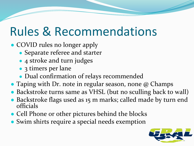## Rules & Recommendations

- COVID rules no longer apply
	- Separate referee and starter
	- 4 stroke and turn judges
	- 3 timers per lane
	- Dual confirmation of relays recommended
- Taping with Dr. note in regular season, none @ Champs
- Backstroke turns same as VHSL (but no sculling back to wall)
- Backstroke flags used as 15 m marks; called made by turn end officials
- Cell Phone or other pictures behind the blocks
- Swim shirts require a special needs exemption

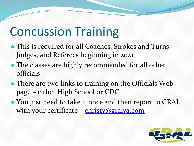## Concussion Training

- This is required for all Coaches, Strokes and Turns Judges, and Referees beginning in 2021
- The classes are highly recommended for all other officials
- There are two links to training on the Officials Web page – either High School or CDC
- You just need to take it once and then report to GRAL with your certificate – [christy@gralva.com](mailto:christy@gralva.com)

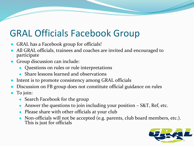#### GRAL Officials Facebook Group

- **GRAL has a Facebook group for officials!**
- All GRAL officials, trainees and coaches are invited and encouraged to participate
- Group discussion can include:
	- Questions on rules or rule interpretations
	- Share lessons learned and observations
- Intent is to promote consistency among GRAL officials
- Discussion on FB group does not constitute official guidance on rules
- To join:
	- Search Facebook for the group
	- Answer the questions to join including your position  $-$  S&T, Ref, etc.
	- Please share with other officials at your club
	- Non-officials will not be accepted (e.g. parents, club board members, etc.). This is just for officials